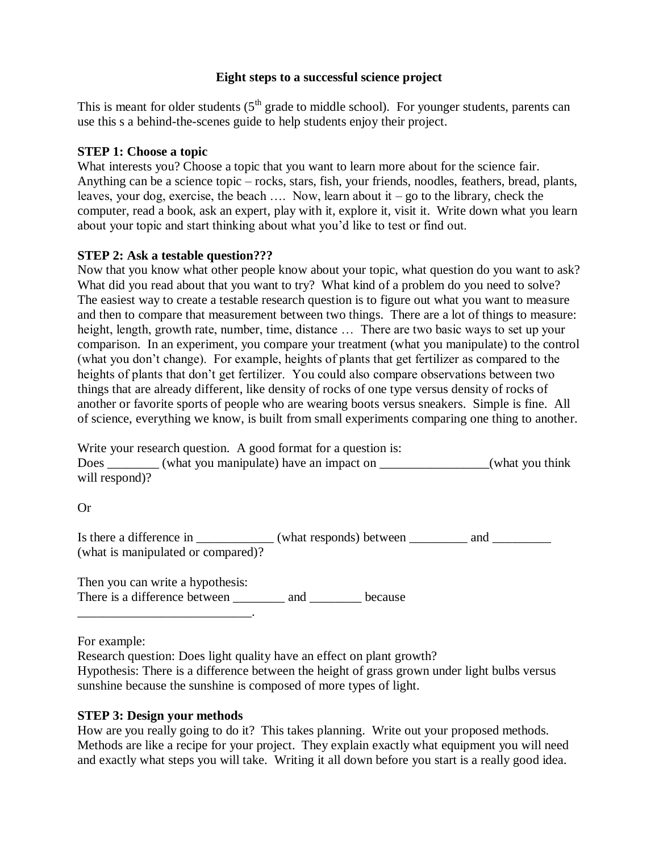#### **Eight steps to a successful science project**

This is meant for older students  $(5<sup>th</sup> graded eti>emiddle school)$ . For younger students, parents can use this s a behind-the-scenes guide to help students enjoy their project.

#### **STEP 1: Choose a topic**

What interests you? Choose a topic that you want to learn more about for the science fair. Anything can be a science topic – rocks, stars, fish, your friends, noodles, feathers, bread, plants, leaves, your dog, exercise, the beach  $\ldots$  Now, learn about it – go to the library, check the computer, read a book, ask an expert, play with it, explore it, visit it. Write down what you learn about your topic and start thinking about what you'd like to test or find out.

#### **STEP 2: Ask a testable question???**

Now that you know what other people know about your topic, what question do you want to ask? What did you read about that you want to try? What kind of a problem do you need to solve? The easiest way to create a testable research question is to figure out what you want to measure and then to compare that measurement between two things. There are a lot of things to measure: height, length, growth rate, number, time, distance ... There are two basic ways to set up your comparison. In an experiment, you compare your treatment (what you manipulate) to the control (what you don't change). For example, heights of plants that get fertilizer as compared to the heights of plants that don't get fertilizer. You could also compare observations between two things that are already different, like density of rocks of one type versus density of rocks of another or favorite sports of people who are wearing boots versus sneakers. Simple is fine. All of science, everything we know, is built from small experiments comparing one thing to another.

Write your research question. A good format for a question is: Does (what you manipulate) have an impact on  $\Box$  (what you think will respond)?

Or

Is there a difference in \_\_\_\_\_\_\_\_\_\_\_\_\_ (what responds) between \_\_\_\_\_\_\_\_\_\_ and \_\_\_\_\_\_\_\_\_ (what is manipulated or compared)?

Then you can write a hypothesis: There is a difference between \_\_\_\_\_\_\_\_\_ and \_\_\_\_\_\_\_\_\_ because \_\_\_\_\_\_\_\_\_\_\_\_\_\_\_\_\_\_\_\_\_\_\_\_\_\_\_.

For example:

Research question: Does light quality have an effect on plant growth?

Hypothesis: There is a difference between the height of grass grown under light bulbs versus sunshine because the sunshine is composed of more types of light.

## **STEP 3: Design your methods**

How are you really going to do it? This takes planning. Write out your proposed methods. Methods are like a recipe for your project. They explain exactly what equipment you will need and exactly what steps you will take. Writing it all down before you start is a really good idea.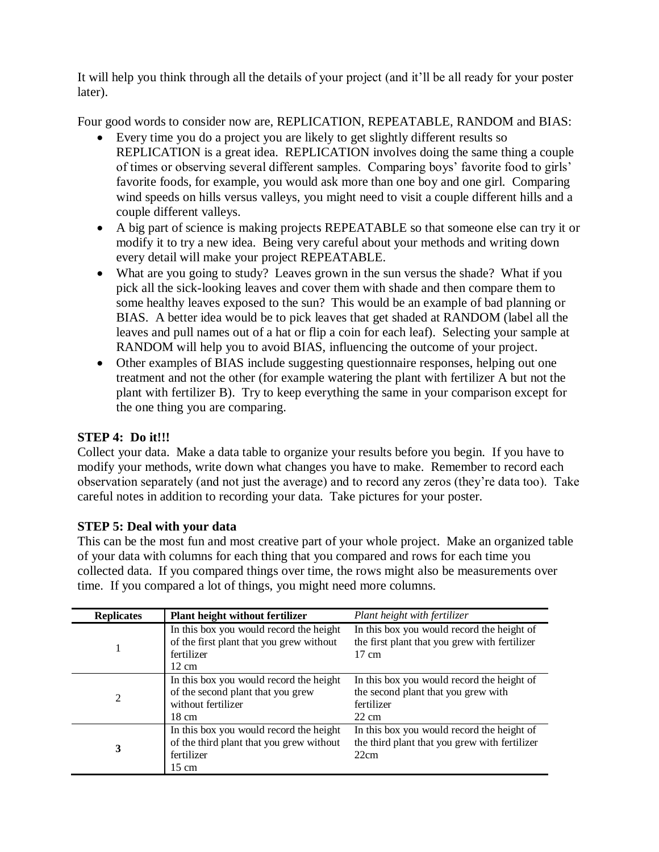It will help you think through all the details of your project (and it'll be all ready for your poster later).

Four good words to consider now are, REPLICATION, REPEATABLE, RANDOM and BIAS:

- Every time you do a project you are likely to get slightly different results so REPLICATION is a great idea. REPLICATION involves doing the same thing a couple of times or observing several different samples. Comparing boys' favorite food to girls' favorite foods, for example, you would ask more than one boy and one girl. Comparing wind speeds on hills versus valleys, you might need to visit a couple different hills and a couple different valleys.
- A big part of science is making projects REPEATABLE so that someone else can try it or modify it to try a new idea. Being very careful about your methods and writing down every detail will make your project REPEATABLE.
- What are you going to study? Leaves grown in the sun versus the shade? What if you pick all the sick-looking leaves and cover them with shade and then compare them to some healthy leaves exposed to the sun? This would be an example of bad planning or BIAS. A better idea would be to pick leaves that get shaded at RANDOM (label all the leaves and pull names out of a hat or flip a coin for each leaf). Selecting your sample at RANDOM will help you to avoid BIAS, influencing the outcome of your project.
- Other examples of BIAS include suggesting questionnaire responses, helping out one treatment and not the other (for example watering the plant with fertilizer A but not the plant with fertilizer B). Try to keep everything the same in your comparison except for the one thing you are comparing.

# **STEP 4: Do it!!!**

Collect your data. Make a data table to organize your results before you begin. If you have to modify your methods, write down what changes you have to make. Remember to record each observation separately (and not just the average) and to record any zeros (they're data too). Take careful notes in addition to recording your data. Take pictures for your poster.

## **STEP 5: Deal with your data**

This can be the most fun and most creative part of your whole project. Make an organized table of your data with columns for each thing that you compared and rows for each time you collected data. If you compared things over time, the rows might also be measurements over time. If you compared a lot of things, you might need more columns.

| <b>Replicates</b> | <b>Plant height without fertilizer</b>                                                            | Plant height with fertilizer                                                                                   |
|-------------------|---------------------------------------------------------------------------------------------------|----------------------------------------------------------------------------------------------------------------|
|                   | In this box you would record the height<br>of the first plant that you grew without<br>fertilizer | In this box you would record the height of<br>the first plant that you grew with fertilizer<br>$17 \text{ cm}$ |
|                   | $12 \text{ cm}$                                                                                   |                                                                                                                |
| $\mathfrak{D}$    | In this box you would record the height                                                           | In this box you would record the height of                                                                     |
|                   | of the second plant that you grew                                                                 | the second plant that you grew with                                                                            |
|                   | without fertilizer                                                                                | fertilizer                                                                                                     |
|                   | $18 \text{ cm}$                                                                                   | $22 \text{ cm}$                                                                                                |
| 3                 | In this box you would record the height                                                           | In this box you would record the height of                                                                     |
|                   | of the third plant that you grew without                                                          | the third plant that you grew with fertilizer                                                                  |
|                   | fertilizer                                                                                        | 22cm                                                                                                           |
|                   | $15 \text{ cm}$                                                                                   |                                                                                                                |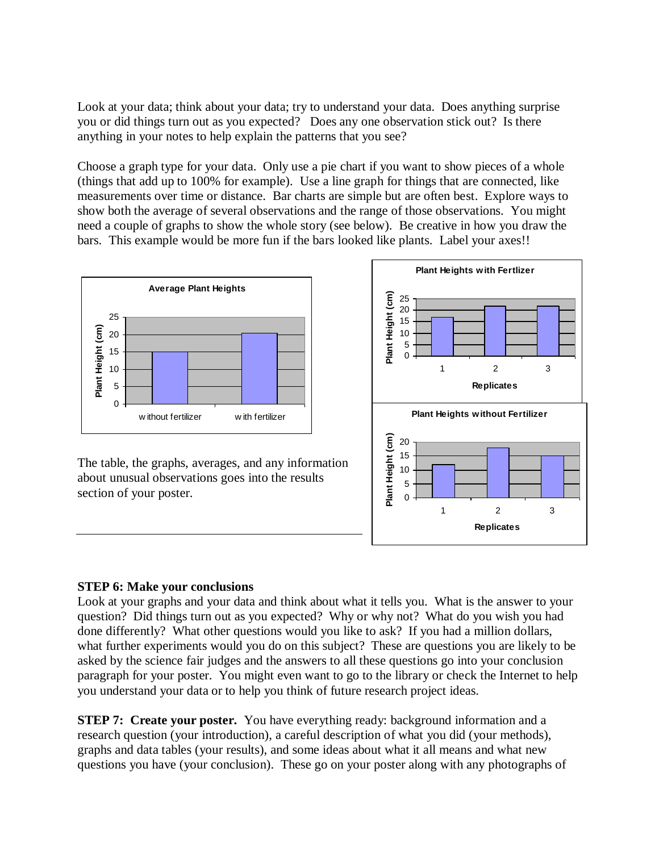Look at your data; think about your data; try to understand your data. Does anything surprise you or did things turn out as you expected? Does any one observation stick out? Is there anything in your notes to help explain the patterns that you see?

Choose a graph type for your data. Only use a pie chart if you want to show pieces of a whole (things that add up to 100% for example). Use a line graph for things that are connected, like measurements over time or distance. Bar charts are simple but are often best. Explore ways to show both the average of several observations and the range of those observations. You might need a couple of graphs to show the whole story (see below). Be creative in how you draw the bars. This example would be more fun if the bars looked like plants. Label your axes!!



The table, the graphs, averages, and any information about unusual observations goes into the results section of your poster.



## **STEP 6: Make your conclusions**

Look at your graphs and your data and think about what it tells you. What is the answer to your question? Did things turn out as you expected? Why or why not? What do you wish you had done differently? What other questions would you like to ask? If you had a million dollars, what further experiments would you do on this subject? These are questions you are likely to be asked by the science fair judges and the answers to all these questions go into your conclusion paragraph for your poster. You might even want to go to the library or check the Internet to help you understand your data or to help you think of future research project ideas.

**STEP 7: Create your poster.** You have everything ready: background information and a research question (your introduction), a careful description of what you did (your methods), graphs and data tables (your results), and some ideas about what it all means and what new questions you have (your conclusion). These go on your poster along with any photographs of